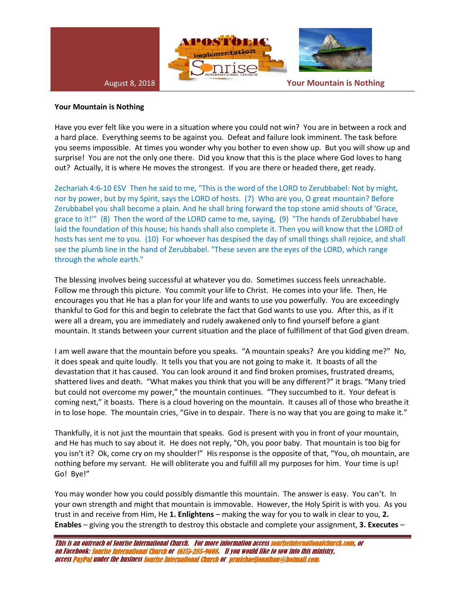

## **Your Mountain is Nothing**

Have you ever felt like you were in a situation where you could not win? You are in between a rock and a hard place. Everything seems to be against you. Defeat and failure look imminent. The task before you seems impossible. At times you wonder why you bother to even show up. But you will show up and surprise! You are not the only one there. Did you know that this is the place where God loves to hang out? Actually, it is where He moves the strongest. If you are there or headed there, get ready.

Zechariah 4:6-10 ESV Then he said to me, "This is the word of the LORD to Zerubbabel: Not by might, nor by power, but by my Spirit, says the LORD of hosts. (7) Who are you, O great mountain? Before Zerubbabel you shall become a plain. And he shall bring forward the top stone amid shouts of 'Grace, grace to it!'" (8) Then the word of the LORD came to me, saying, (9) "The hands of Zerubbabel have laid the foundation of this house; his hands shall also complete it. Then you will know that the LORD of hosts has sent me to you. (10) For whoever has despised the day of small things shall rejoice, and shall see the plumb line in the hand of Zerubbabel. "These seven are the eyes of the LORD, which range through the whole earth."

The blessing involves being successful at whatever you do. Sometimes success feels unreachable. Follow me through this picture. You commit your life to Christ. He comes into your life. Then, He encourages you that He has a plan for your life and wants to use you powerfully. You are exceedingly thankful to God for this and begin to celebrate the fact that God wants to use you. After this, as if it were all a dream, you are immediately and rudely awakened only to find yourself before a giant mountain. It stands between your current situation and the place of fulfillment of that God given dream.

I am well aware that the mountain before you speaks. "A mountain speaks? Are you kidding me?" No, it does speak and quite loudly. It tells you that you are not going to make it. It boasts of all the devastation that it has caused. You can look around it and find broken promises, frustrated dreams, shattered lives and death. "What makes you think that you will be any different?" it brags. "Many tried but could not overcome my power," the mountain continues. "They succumbed to it. Your defeat is coming next," it boasts. There is a cloud hovering on the mountain. It causes all of those who breathe it in to lose hope. The mountain cries, "Give in to despair. There is no way that you are going to make it."

Thankfully, it is not just the mountain that speaks. God is present with you in front of your mountain, and He has much to say about it. He does not reply, "Oh, you poor baby. That mountain is too big for you isn't it? Ok, come cry on my shoulder!" His response is the opposite of that, "You, oh mountain, are nothing before my servant. He will obliterate you and fulfill all my purposes for him. Your time is up! Go! Bye!"

You may wonder how you could possibly dismantle this mountain. The answer is easy. You can't. In your own strength and might that mountain is immovable. However, the Holy Spirit is with you. As you trust in and receive from Him, He **1. Enlightens** – making the way for you to walk in clear to you, **2. Enables** – giving you the strength to destroy this obstacle and complete your assignment, **3. Executes** –

This is an outreach of Sonrise International Church. For more information access sonriseinternationalchurch.com, or on Facebook: Sonrise International Church or (615)-285-9608. If you would like to sow into this ministry, access PayPal under the business Sonrise International Church or prmichaeljonathan@hotmail.com.